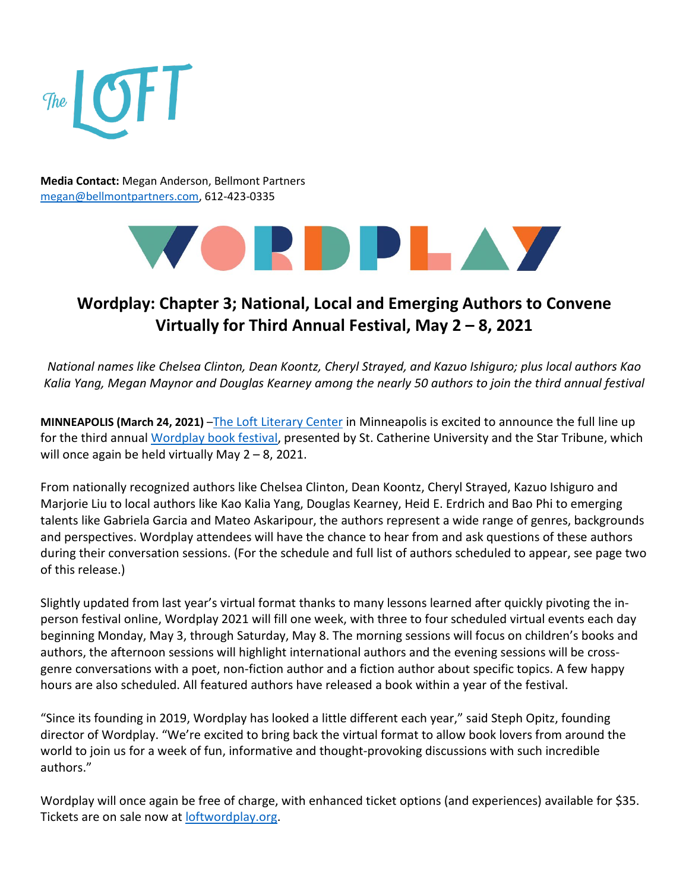

**Media Contact:** Megan Anderson, Bellmont Partners [megan@bellmontpartners.com,](mailto:megan@bellmontpartners.com) 612-423-0335



# **Wordplay: Chapter 3; National, Local and Emerging Authors to Convene Virtually for Third Annual Festival, May 2 – 8, 2021**

*National names like Chelsea Clinton, Dean Koontz, Cheryl Strayed, and Kazuo Ishiguro; plus local authors Kao Kalia Yang, Megan Maynor and Douglas Kearney among the nearly 50 authors to join the third annual festival* 

**MINNEAPOLIS (March 24, 2021)** [–The Loft Literary Center](https://loft.org/) in Minneapolis is excited to announce the full line up for the third annual [Wordplay book festival,](https://www.youtube.com/watch?v=ngydFISR5rA) presented by St. Catherine University and the Star Tribune, which will once again be held virtually May 2 – 8, 2021.

From nationally recognized authors like Chelsea Clinton, Dean Koontz, Cheryl Strayed, Kazuo Ishiguro and Marjorie Liu to local authors like Kao Kalia Yang, Douglas Kearney, Heid E. Erdrich and Bao Phi to emerging talents like Gabriela Garcia and Mateo Askaripour, the authors represent a wide range of genres, backgrounds and perspectives. Wordplay attendees will have the chance to hear from and ask questions of these authors during their conversation sessions. (For the schedule and full list of authors scheduled to appear, see page two of this release.)

Slightly updated from last year's virtual format thanks to many lessons learned after quickly pivoting the inperson festival online, Wordplay 2021 will fill one week, with three to four scheduled virtual events each day beginning Monday, May 3, through Saturday, May 8. The morning sessions will focus on children's books and authors, the afternoon sessions will highlight international authors and the evening sessions will be crossgenre conversations with a poet, non-fiction author and a fiction author about specific topics. A few happy hours are also scheduled. All featured authors have released a book within a year of the festival.

"Since its founding in 2019, Wordplay has looked a little different each year," said Steph Opitz, founding director of Wordplay. "We're excited to bring back the virtual format to allow book lovers from around the world to join us for a week of fun, informative and thought-provoking discussions with such incredible authors."

Wordplay will once again be free of charge, with enhanced ticket options (and experiences) available for \$35. Tickets are on sale now at [loftwordplay.org.](https://loft.org/festival/about-wordplay)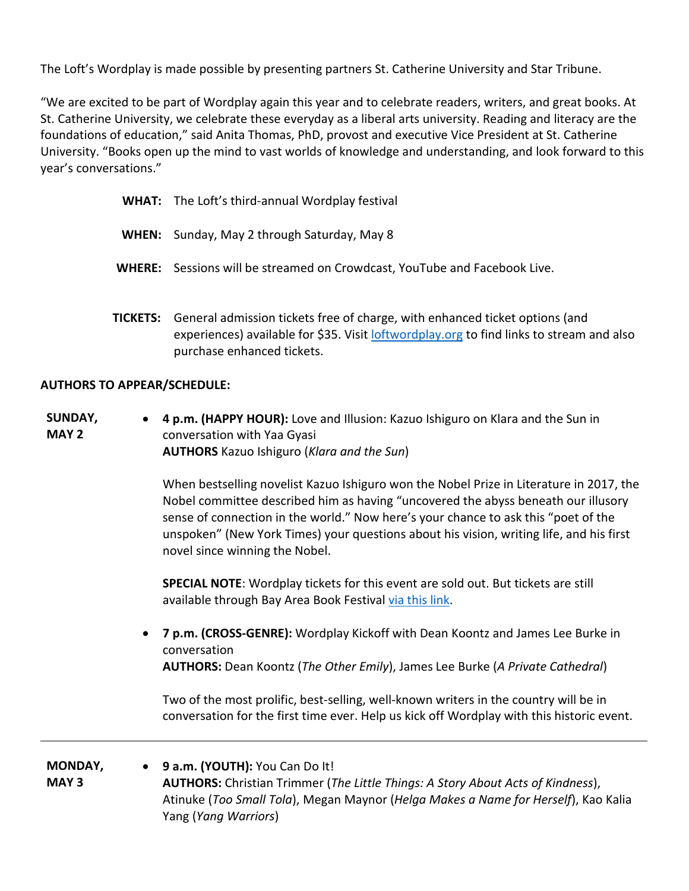The Loft's Wordplay is made possible by presenting partners St. Catherine University and Star Tribune.

"We are excited to be part of Wordplay again this year and to celebrate readers, writers, and great books. At St. Catherine University, we celebrate these everyday as a liberal arts university. Reading and literacy are the foundations of education," said Anita Thomas, PhD, provost and executive Vice President at St. Catherine University. "Books open up the mind to vast worlds of knowledge and understanding, and look forward to this year's conversations."

|  | <b>WHAT:</b> The Loft's third-annual Wordplay festival |
|--|--------------------------------------------------------|
|--|--------------------------------------------------------|

- **WHEN:** Sunday, May 2 through Saturday, May 8
- **WHERE:** Sessions will be streamed on Crowdcast, YouTube and Facebook Live.
- **TICKETS:** General admission tickets free of charge, with enhanced ticket options (and experiences) available for \$35. Visit [loftwordplay.org](http://www.loftwordplay.org/) to find links to stream and also purchase enhanced tickets.

# **AUTHORS TO APPEAR/SCHEDULE:**

**SUNDAY, MAY 2** • **4 p.m. (HAPPY HOUR):** Love and Illusion: Kazuo Ishiguro on Klara and the Sun in conversation with Yaa Gyasi **AUTHORS** Kazuo Ishiguro (*Klara and the Sun*)

> When bestselling novelist Kazuo Ishiguro won the Nobel Prize in Literature in 2017, the Nobel committee described him as having "uncovered the abyss beneath our illusory sense of connection in the world." Now here's your chance to ask this "poet of the unspoken" (New York Times) your questions about his vision, writing life, and his first novel since winning the Nobel.

**SPECIAL NOTE**: Wordplay tickets for this event are sold out. But tickets are still available through Bay Area Book Festival [via this link.](https://www.baybookfest.org/session/love_illusion/#!event-register/2021/5/2/love-and-illusion-kazuo-ishiguro-on-klara-and-the-sun)

• **7 p.m. (CROSS-GENRE):** Wordplay Kickoff with Dean Koontz and James Lee Burke in conversation **AUTHORS:** Dean Koontz (*The Other Emily*), James Lee Burke (*A Private Cathedral*)

Two of the most prolific, best-selling, well-known writers in the country will be in conversation for the first time ever. Help us kick off Wordplay with this historic event.

**MONDAY, MAY 3** • **9 a.m. (YOUTH):** You Can Do It! **AUTHORS:** Christian Trimmer (*The Little Things: A Story About Acts of Kindness*), Atinuke (*Too Small Tola*), Megan Maynor (*Helga Makes a Name for Herself*), Kao Kalia Yang (*Yang Warriors*)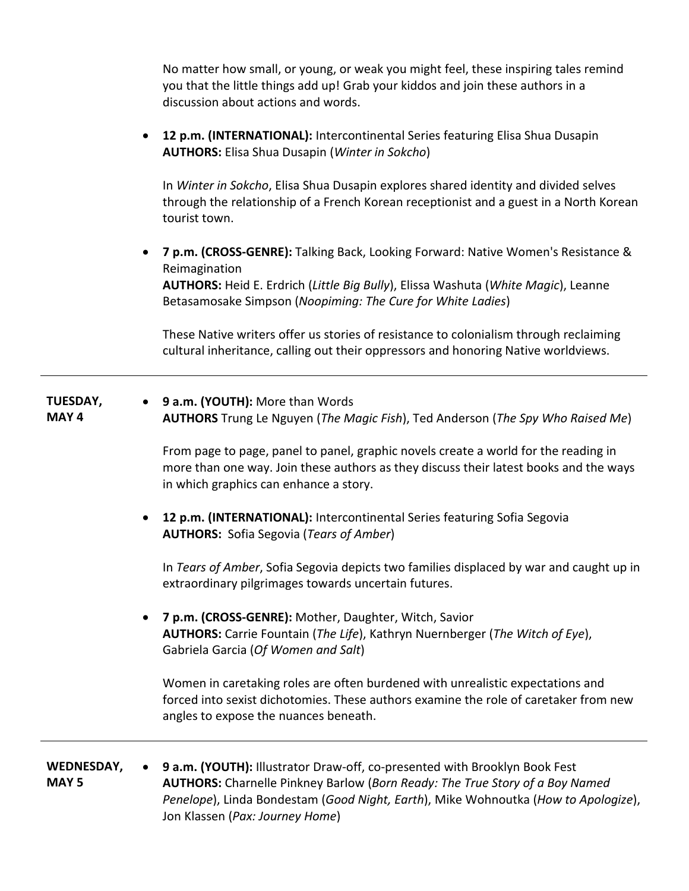No matter how small, or young, or weak you might feel, these inspiring tales remind you that the little things add up! Grab your kiddos and join these authors in a discussion about actions and words.

• **12 p.m. (INTERNATIONAL):** Intercontinental Series featuring Elisa Shua Dusapin **AUTHORS:** Elisa Shua Dusapin (*Winter in Sokcho*)

In *Winter in Sokcho*, Elisa Shua Dusapin explores shared identity and divided selves through the relationship of a French Korean receptionist and a guest in a North Korean tourist town.

• **7 p.m. (CROSS-GENRE):** Talking Back, Looking Forward: Native Women's Resistance & Reimagination **AUTHORS:** Heid E. Erdrich (*Little Big Bully*), Elissa Washuta (*White Magic*), Leanne Betasamosake Simpson (*Noopiming: The Cure for White Ladies*)

These Native writers offer us stories of resistance to colonialism through reclaiming cultural inheritance, calling out their oppressors and honoring Native worldviews.

**TUESDAY, MAY 4** • **9 a.m. (YOUTH):** More than Words **AUTHORS** Trung Le Nguyen (*The Magic Fish*), Ted Anderson (*The Spy Who Raised Me*)

> From page to page, panel to panel, graphic novels create a world for the reading in more than one way. Join these authors as they discuss their latest books and the ways in which graphics can enhance a story.

• **12 p.m. (INTERNATIONAL):** Intercontinental Series featuring Sofia Segovia **AUTHORS:** Sofia Segovia (*Tears of Amber*)

In *Tears of Amber*, Sofia Segovia depicts two families displaced by war and caught up in extraordinary pilgrimages towards uncertain futures.

• **7 p.m. (CROSS-GENRE):** Mother, Daughter, Witch, Savior **AUTHORS:** Carrie Fountain (*The Life*), Kathryn Nuernberger (*The Witch of Eye*), Gabriela Garcia (*Of Women and Salt*)

Women in caretaking roles are often burdened with unrealistic expectations and forced into sexist dichotomies. These authors examine the role of caretaker from new angles to expose the nuances beneath.

#### **WEDNESDAY, MAY 5** • **9 a.m. (YOUTH):** Illustrator Draw-off, co-presented with Brooklyn Book Fest **AUTHORS:** Charnelle Pinkney Barlow (*Born Ready: The True Story of a Boy Named Penelope*), Linda Bondestam (*Good Night, Earth*), Mike Wohnoutka (*How to Apologize*), Jon Klassen (*Pax: Journey Home*)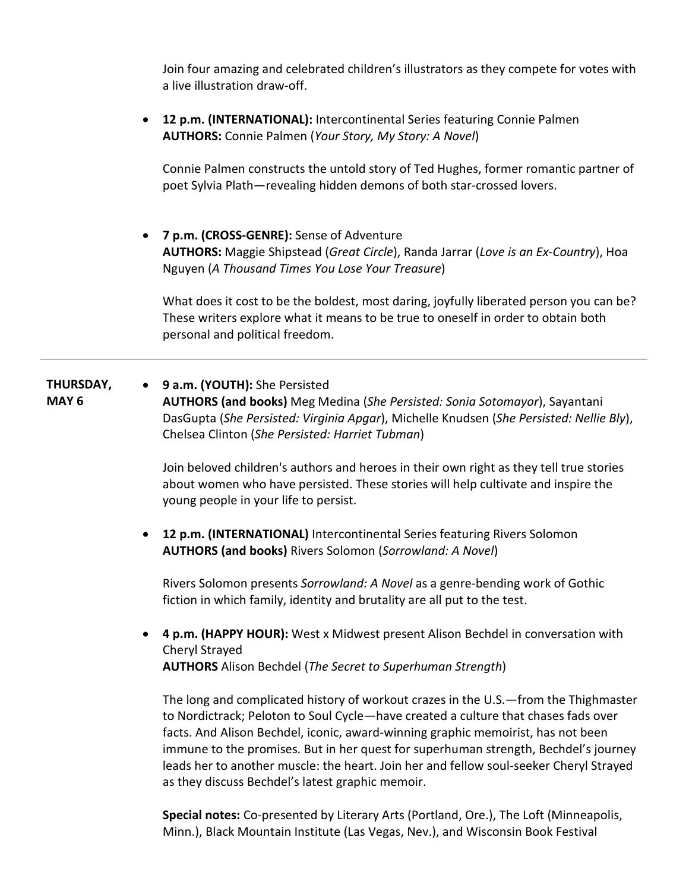Join four amazing and celebrated children's illustrators as they compete for votes with a live illustration draw-off.

• **12 p.m. (INTERNATIONAL):** Intercontinental Series featuring Connie Palmen **AUTHORS:** Connie Palmen (*Your Story, My Story: A Novel*)

Connie Palmen constructs the untold story of Ted Hughes, former romantic partner of poet Sylvia Plath—revealing hidden demons of both star-crossed lovers.

• **7 p.m. (CROSS-GENRE):** Sense of Adventure **AUTHORS:** Maggie Shipstead (*Great Circle*), Randa Jarrar (*Love is an Ex-Country*), Hoa Nguyen (*A Thousand Times You Lose Your Treasure*)

What does it cost to be the boldest, most daring, joyfully liberated person you can be? These writers explore what it means to be true to oneself in order to obtain both personal and political freedom.

**THURSDAY, MAY 6** • **9 a.m. (YOUTH):** She Persisted **AUTHORS (and books)** Meg Medina (*She Persisted: Sonia Sotomayor*), Sayantani DasGupta (*She Persisted: Virginia Apgar*), Michelle Knudsen (*She Persisted: Nellie Bly*), Chelsea Clinton (*She Persisted: Harriet Tubman*)

> Join beloved children's authors and heroes in their own right as they tell true stories about women who have persisted. These stories will help cultivate and inspire the young people in your life to persist.

• **12 p.m. (INTERNATIONAL)** Intercontinental Series featuring Rivers Solomon **AUTHORS (and books)** Rivers Solomon (*Sorrowland: A Novel*)

Rivers Solomon presents *Sorrowland: A Novel* as a genre-bending work of Gothic fiction in which family, identity and brutality are all put to the test.

• **4 p.m. (HAPPY HOUR):** West x Midwest present Alison Bechdel in conversation with Cheryl Strayed **AUTHORS** Alison Bechdel (*The Secret to Superhuman Strength*)

The long and complicated history of workout crazes in the U.S.—from the Thighmaster to Nordictrack; Peloton to Soul Cycle—have created a culture that chases fads over facts. And Alison Bechdel, iconic, award-winning graphic memoirist, has not been immune to the promises. But in her quest for superhuman strength, Bechdel's journey leads her to another muscle: the heart. Join her and fellow soul-seeker Cheryl Strayed as they discuss Bechdel's latest graphic memoir.

**Special notes:** Co-presented by Literary Arts (Portland, Ore.), The Loft (Minneapolis, Minn.), Black Mountain Institute (Las Vegas, Nev.), and Wisconsin Book Festival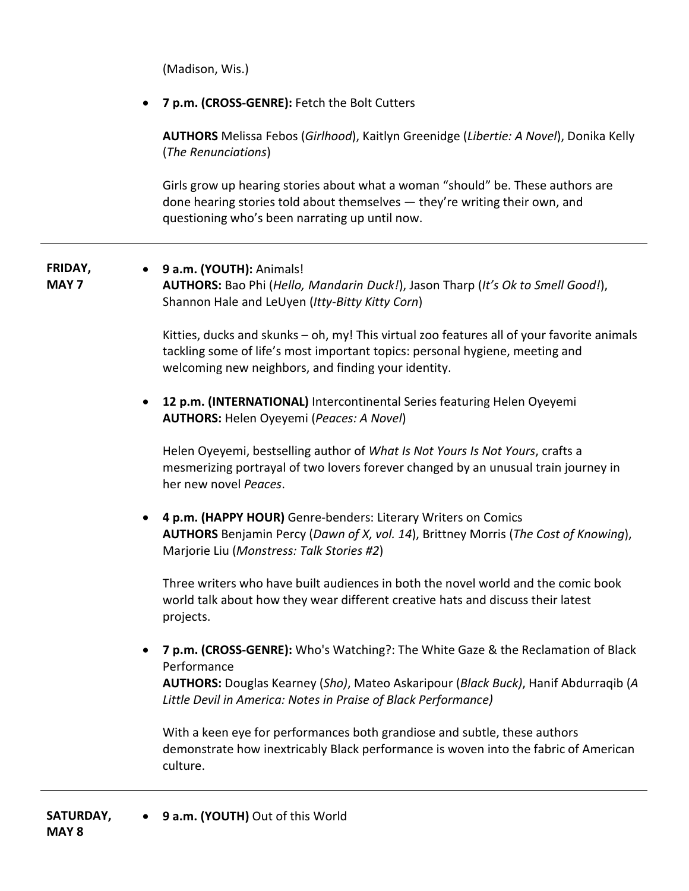(Madison, Wis.)

• **7 p.m. (CROSS-GENRE):** Fetch the Bolt Cutters

**AUTHORS** Melissa Febos (*Girlhood*), Kaitlyn Greenidge (*Libertie: A Novel*), Donika Kelly (*The Renunciations*)

Girls grow up hearing stories about what a woman "should" be. These authors are done hearing stories told about themselves — they're writing their own, and questioning who's been narrating up until now.

## **FRIDAY, MAY 7**

• **9 a.m. (YOUTH):** Animals! **AUTHORS:** Bao Phi (*Hello, Mandarin Duck!*), Jason Tharp (*It's Ok to Smell Good!*), Shannon Hale and LeUyen (*Itty-Bitty Kitty Corn*)

Kitties, ducks and skunks – oh, my! This virtual zoo features all of your favorite animals tackling some of life's most important topics: personal hygiene, meeting and welcoming new neighbors, and finding your identity.

• **12 p.m. (INTERNATIONAL)** Intercontinental Series featuring Helen Oyeyemi **AUTHORS:** Helen Oyeyemi (*Peaces: A Novel*)

Helen Oyeyemi, bestselling author of *What Is Not Yours Is Not Yours*, crafts a mesmerizing portrayal of two lovers forever changed by an unusual train journey in her new novel *Peaces*.

• **4 p.m. (HAPPY HOUR)** Genre-benders: Literary Writers on Comics **AUTHORS** Benjamin Percy (*Dawn of X, vol. 14*), Brittney Morris (*The Cost of Knowing*), Marjorie Liu (*Monstress: Talk Stories #2*)

Three writers who have built audiences in both the novel world and the comic book world talk about how they wear different creative hats and discuss their latest projects.

• **7 p.m. (CROSS-GENRE):** Who's Watching?: The White Gaze & the Reclamation of Black Performance

**AUTHORS:** Douglas Kearney (*Sho)*, Mateo Askaripour (*Black Buck)*, Hanif Abdurraqib (*A Little Devil in America: Notes in Praise of Black Performance)*

With a keen eye for performances both grandiose and subtle, these authors demonstrate how inextricably Black performance is woven into the fabric of American culture.